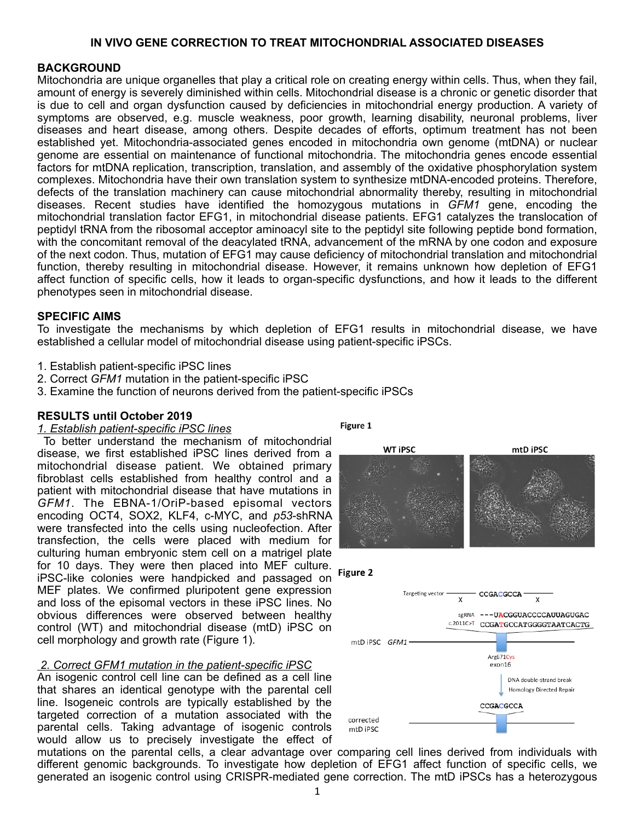# **IN VIVO GENE CORRECTION TO TREAT MITOCHONDRIAL ASSOCIATED DISEASES**

# **BACKGROUND**

Mitochondria are unique organelles that play a critical role on creating energy within cells. Thus, when they fail, amount of energy is severely diminished within cells. Mitochondrial disease is a chronic or genetic disorder that is due to cell and organ dysfunction caused by deficiencies in mitochondrial energy production. A variety of symptoms are observed, e.g. muscle weakness, poor growth, learning disability, neuronal problems, liver diseases and heart disease, among others. Despite decades of efforts, optimum treatment has not been established yet. Mitochondria-associated genes encoded in mitochondria own genome (mtDNA) or nuclear genome are essential on maintenance of functional mitochondria. The mitochondria genes encode essential factors for mtDNA replication, transcription, translation, and assembly of the oxidative phosphorylation system complexes. Mitochondria have their own translation system to synthesize mtDNA-encoded proteins. Therefore, defects of the translation machinery can cause mitochondrial abnormality thereby, resulting in mitochondrial diseases. Recent studies have identified the homozygous mutations in *GFM1* gene, encoding the mitochondrial translation factor EFG1, in mitochondrial disease patients. EFG1 catalyzes the translocation of peptidyl tRNA from the ribosomal acceptor aminoacyl site to the peptidyl site following peptide bond formation, with the concomitant removal of the deacylated tRNA, advancement of the mRNA by one codon and exposure of the next codon. Thus, mutation of EFG1 may cause deficiency of mitochondrial translation and mitochondrial function, thereby resulting in mitochondrial disease. However, it remains unknown how depletion of EFG1 affect function of specific cells, how it leads to organ-specific dysfunctions, and how it leads to the different phenotypes seen in mitochondrial disease.

## **SPECIFIC AIMS**

To investigate the mechanisms by which depletion of EFG1 results in mitochondrial disease, we have established a cellular model of mitochondrial disease using patient-specific iPSCs.

- 1. Establish patient-specific iPSC lines
- 2. Correct *GFM1* mutation in the patient-specific iPSC
- 3. Examine the function of neurons derived from the patient-specific iPSCs

## **RESULTS until October 2019**

#### *1. Establish patient-specific iPSC lines*

 To better understand the mechanism of mitochondrial disease, we first established iPSC lines derived from a mitochondrial disease patient. We obtained primary fibroblast cells established from healthy control and a patient with mitochondrial disease that have mutations in *GFM1*. The EBNA-1/OriP-based episomal vectors encoding OCT4, SOX2, KLF4, c-MYC, and *p53*-shRNA were transfected into the cells using nucleofection. After transfection, the cells were placed with medium for culturing human embryonic stem cell on a matrigel plate for 10 days. They were then placed into MEF culture. iPSC-like colonies were handpicked and passaged on MEF plates. We confirmed pluripotent gene expression and loss of the episomal vectors in these iPSC lines. No obvious differences were observed between healthy control (WT) and mitochondrial disease (mtD) iPSC on cell morphology and growth rate (Figure 1).

## *2. Correct GFM1 mutation in the patient-specific iPSC*

An isogenic control cell line can be defined as a cell line that shares an identical genotype with the parental cell line. Isogeneic controls are typically established by the targeted correction of a mutation associated with the parental cells. Taking advantage of isogenic controls would allow us to precisely investigate the effect of

Figure 1



CCGACGCCA

mutations on the parental cells, a clear advantage over comparing cell lines derived from individuals with different genomic backgrounds. To investigate how depletion of EFG1 affect function of specific cells, we generated an isogenic control using CRISPR-mediated gene correction. The mtD iPSCs has a heterozygous

corrected mtD iPSC